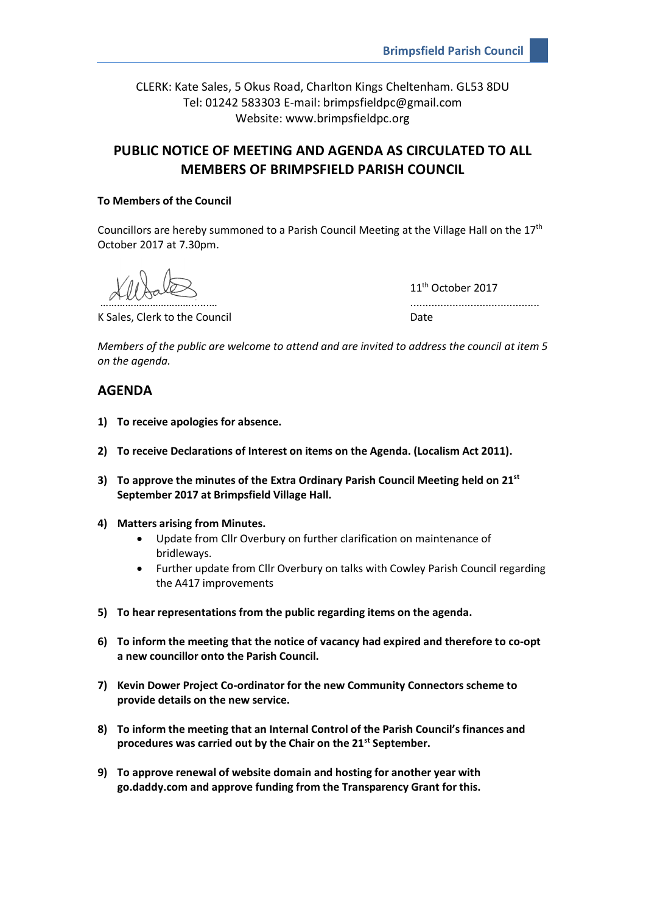CLERK: Kate Sales, 5 Okus Road, Charlton Kings Cheltenham. GL53 8DU Tel: 01242 583303 E-mail: brimpsfieldpc@gmail.com Website: www.brimpsfieldpc.org

# **PUBLIC NOTICE OF MEETING AND AGENDA AS CIRCULATED TO ALL MEMBERS OF BRIMPSFIELD PARISH COUNCIL**

## **To Members of the Council**

Councillors are hereby summoned to a Parish Council Meeting at the Village Hall on the 17th October 2017 at 7.30pm.

K Sales, Clerk to the Council and Date Date

11<sup>th</sup> October 2017 ………………………………………………

*Members of the public are welcome to attend and are invited to address the council at item 5 on the agenda.*

# **AGENDA**

- **1) To receive apologies for absence.**
- **2) To receive Declarations of Interest on items on the Agenda. (Localism Act 2011).**
- **3) To approve the minutes of the Extra Ordinary Parish Council Meeting held on 21st September 2017 at Brimpsfield Village Hall.**
- **4) Matters arising from Minutes.**
	- Update from Cllr Overbury on further clarification on maintenance of bridleways.
	- Further update from Cllr Overbury on talks with Cowley Parish Council regarding the A417 improvements
- **5) To hear representations from the public regarding items on the agenda.**
- **6) To inform the meeting that the notice of vacancy had expired and therefore to co-opt a new councillor onto the Parish Council.**
- **7) Kevin Dower Project Co-ordinator for the new Community Connectors scheme to provide details on the new service.**
- **8) To inform the meeting that an Internal Control of the Parish Council's finances and procedures was carried out by the Chair on the 21st September.**
- **9) To approve renewal of website domain and hosting for another year with go.daddy.com and approve funding from the Transparency Grant for this.**